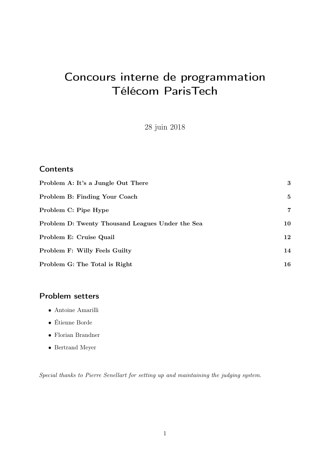# Concours interne de programmation Télécom ParisTech

28 juin 2018

# **Contents**

| Problem A: It's a Jungle Out There               | 3  |
|--------------------------------------------------|----|
| Problem B: Finding Your Coach                    | 5  |
| Problem C: Pipe Hype                             | 7  |
| Problem D: Twenty Thousand Leagues Under the Sea | 10 |
| Problem E: Cruise Quail                          | 12 |
| Problem F: Willy Feels Guilty                    | 14 |
| Problem G: The Total is Right                    | 16 |

# Problem setters

- Antoine Amarilli
- Étienne Borde
- Florian Brandner
- Bertrand Meyer

Special thanks to Pierre Senellart for setting up and maintaining the judging system.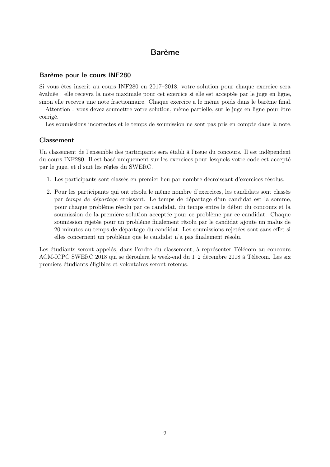# Barème

### Barème pour le cours INF280

Si vous êtes inscrit au cours INF280 en 2017–2018, votre solution pour chaque exercice sera évaluée : elle recevra la note maximale pour cet exercice si elle est acceptée par le juge en ligne, sinon elle recevra une note fractionnaire. Chaque exercice a le même poids dans le barème final.

Attention : vous devez soumettre votre solution, même partielle, sur le juge en ligne pour être corrigé.

Les soumissions incorrectes et le temps de soumission ne sont pas pris en compte dans la note.

### Classement

Un classement de l'ensemble des participants sera établi à l'issue du concours. Il est indépendent du cours INF280. Il est basé uniquement sur les exercices pour lesquels votre code est accepté par le juge, et il suit les règles du SWERC.

- 1. Les participants sont classés en premier lieu par nombre décroissant d'exercices résolus.
- 2. Pour les participants qui ont résolu le même nombre d'exercices, les candidats sont classés par temps de départage croissant. Le temps de départage d'un candidat est la somme, pour chaque problème résolu par ce candidat, du temps entre le début du concours et la soumission de la première solution acceptée pour ce problème par ce candidat. Chaque soumission rejetée pour un problème finalement résolu par le candidat ajoute un malus de 20 minutes au temps de départage du candidat. Les soumissions rejetées sont sans effet si elles concernent un problème que le candidat n'a pas finalement résolu.

Les étudiants seront appelés, dans l'ordre du classement, à représenter Télécom au concours ACM-ICPC SWERC 2018 qui se déroulera le week-end du 1–2 décembre 2018 à Télécom. Les six premiers étudiants éligibles et volontaires seront retenus.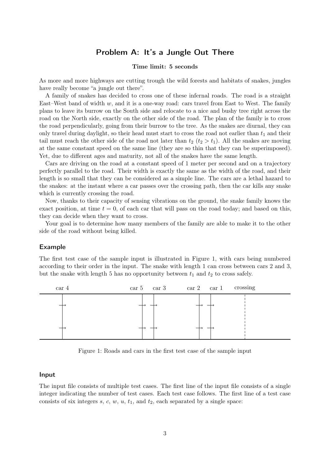### Problem A: It's a Jungle Out There

#### Time limit: 5 seconds

<span id="page-2-0"></span>As more and more highways are cutting trough the wild forests and habitats of snakes, jungles have really become "a jungle out there".

A family of snakes has decided to cross one of these infernal roads. The road is a straight East–West band of width  $w$ , and it is a one-way road: cars travel from East to West. The family plans to leave its burrow on the South side and relocate to a nice and bushy tree right across the road on the North side, exactly on the other side of the road. The plan of the family is to cross the road perpendicularly, going from their burrow to the tree. As the snakes are diurnal, they can only travel during daylight, so their head must start to cross the road not earlier than  $t_1$  and their tail must reach the other side of the road not later than  $t_2$  ( $t_2 > t_1$ ). All the snakes are moving at the same constant speed on the same line (they are so thin that they can be superimposed). Yet, due to different ages and maturity, not all of the snakes have the same length.

Cars are driving on the road at a constant speed of 1 meter per second and on a trajectory perfectly parallel to the road. Their width is exactly the same as the width of the road, and their length is so small that they can be considered as a simple line. The cars are a lethal hazard to the snakes: at the instant where a car passes over the crossing path, then the car kills any snake which is currently crossing the road.

Now, thanks to their capacity of sensing vibrations on the ground, the snake family knows the exact position, at time  $t = 0$ , of each car that will pass on the road today; and based on this, they can decide when they want to cross.

Your goal is to determine how many members of the family are able to make it to the other side of the road without being killed.

#### Example

The first test case of the sample input is illustrated in Figure [1,](#page-2-1) with cars being numbered according to their order in the input. The snake with length 1 can cross between cars 2 and 3, but the snake with length 5 has no opportunity between  $t_1$  and  $t_2$  to cross safely.



<span id="page-2-1"></span>Figure 1: Roads and cars in the first test case of the sample input

#### Input

The input file consists of multiple test cases. The first line of the input file consists of a single integer indicating the number of test cases. Each test case follows. The first line of a test case consists of six integers  $s, c, w, u, t_1$ , and  $t_2$ , each separated by a single space: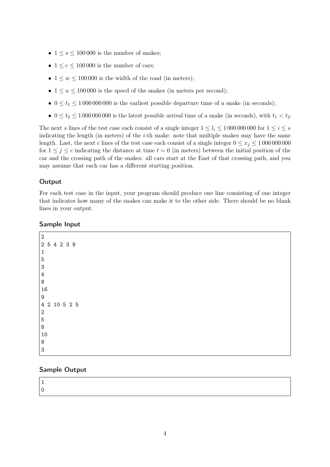- $1 \leq s \leq 100000$  is the number of snakes;
- $1 \leq c \leq 100000$  is the number of cars;
- $1 \leq w \leq 100000$  is the width of the road (in meters);
- $1 \le u \le 100000$  is the speed of the snakes (in meters per second);
- $0 \le t_1 \le 1000000000$  is the earliest possible departure time of a snake (in seconds);
- $0 \le t_2 \le 10000000000$  is the latest possible arrival time of a snake (in seconds), with  $t_1 < t_2$ .

The next s lines of the test case each consist of a single integer  $1 \leq l_i \leq 1000000000$  for  $1 \leq i \leq s$ indicating the length (in meters) of the *i*-th snake: note that multiple snakes may have the same length. Last, the next c lines of the test case each consist of a single integer  $0 \le x_i \le 10000000000$ for  $1 \leq j \leq c$  indicating the distance at time  $t = 0$  (in meters) between the initial position of the car and the crossing path of the snakes: all cars start at the East of that crossing path, and you may assume that each car has a different starting position.

### **Output**

For each test case in the input, your program should produce one line consisting of one integer that indicates how many of the snakes can make it to the other side. There should be no blank lines in your output.

### Sample Input

| $\overline{2}$            |  |
|---------------------------|--|
| 2 5 4 2 3 9               |  |
| $\mathbf 1$               |  |
| $\mathbf 5$               |  |
| $\ensuremath{\mathsf{3}}$ |  |
| $\bf 4$                   |  |
| $\,8\,$                   |  |
| 16                        |  |
| 9                         |  |
| 4 2 10 5 2 5              |  |
| $\overline{2}$            |  |
| $\mathbf 5$               |  |
| $\,8\,$                   |  |
| 10                        |  |
| $\,8\,$                   |  |
| $\mathbf{3}$              |  |

### Sample Output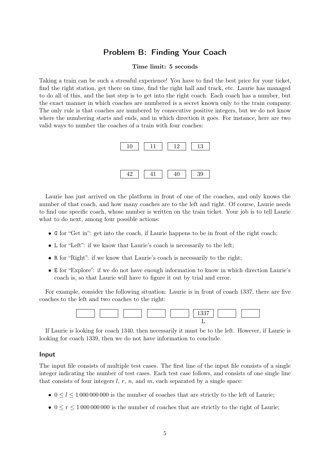# Problem B: Finding Your Coach

#### Time limit: 5 seconds

<span id="page-4-0"></span>Taking a train can be such a stressful experience! You have to find the best price for your ticket, find the right station, get there on time, find the right hall and track, etc. Laurie has managed to do all of this, and the last step is to get into the right coach. Each coach has a number, but the exact manner in which coaches are numbered is a secret known only to the train company. The only rule is that coaches are numbered by consecutive positive integers, but we do not know where the numbering starts and ends, and in which direction it goes. For instance, here are two valid ways to number the coaches of a train with four coaches:



Laurie has just arrived on the platform in front of one of the coaches, and only knows the number of that coach, and how many coaches are to the left and right. Of course, Laurie needs to find one specific coach, whose number is written on the train ticket. Your job is to tell Laurie what to do next, among four possible actions:

- G for "Get in": get into the coach, if Laurie happens to be in front of the right coach;
- L for "Left": if we know that Laurie's coach is necessarily to the left;
- R for "Right": if we know that Laurie's coach is necessarily to the right;
- E for "Explore": if we do not have enough information to know in which direction Laurie's coach is, so that Laurie will have to figure it out by trial and error.

For example, consider the following situation: Laurie is in front of coach 1337, there are five coaches to the left and two coaches to the right:



If Laurie is looking for coach 1340, then necessarily it must be to the left. However, if Laurie is looking for coach 1339, then we do not have information to conclude.

#### Input

The input file consists of multiple test cases. The first line of the input file consists of a single integer indicating the number of test cases. Each test case follows, and consists of one single line that consists of four integers  $l, r, n$ , and  $m$ , each separated by a single space:

- $0 \leq l \leq 1000000000$  is the number of coaches that are strictly to the left of Laurie;
- $0 \le r \le 1000000000$  is the number of coaches that are strictly to the right of Laurie;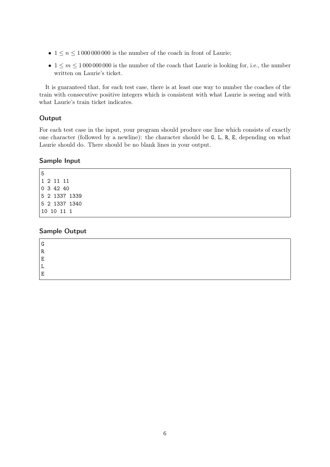- $1 \leq n \leq 1000000000$  is the number of the coach in front of Laurie;
- $1 \leq m \leq 10000000000$  is the number of the coach that Laurie is looking for, i.e., the number written on Laurie's ticket.

It is guaranteed that, for each test case, there is at least one way to number the coaches of the train with consecutive positive integers which is consistent with what Laurie is seeing and with what Laurie's train ticket indicates.

### **Output**

For each test case in the input, your program should produce one line which consists of exactly one character (followed by a newline): the character should be G, L, R, E, depending on what Laurie should do. There should be no blank lines in your output.

### Sample Input

### Sample Output

| G |  |  |  |
|---|--|--|--|
| R |  |  |  |
| 묘 |  |  |  |
|   |  |  |  |
| 묘 |  |  |  |
|   |  |  |  |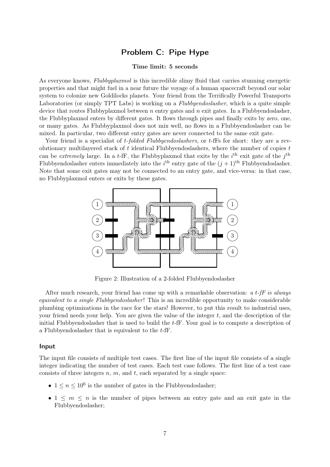# Problem C: Pipe Hype

#### Time limit: 5 seconds

<span id="page-6-0"></span>As everyone knows, Flubbyplaxmol is this incredible slimy fluid that carries stunning energetic properties and that might fuel in a near future the voyage of a human spacecraft beyond our solar system to colonize new Goldilocks planets. Your friend from the Terrifically Powerful Transports Laboratories (or simply TPT Labs) is working on a *Flubbyendoslasher*, which is a quite simple device that routes Flubbyplaxmol between  $n$  entry gates and  $n$  exit gates. In a Flubbyendoslasher, the Flubbyplaxmol enters by different gates. It flows through pipes and finally exits by zero, one, or many gates. As Flubbyplaxmol does not mix well, no flows in a Flubbyendoslasher can be mixed. In particular, two different entry gates are never connected to the same exit gate.

Your friend is a specialist of *t-folded Flubbyendoslashers*, or *t*-fFs for short: they are a revolutionary multilayered stack of  $t$  identical Flubbyendoslashers, where the number of copies  $t$ can be extremely large. In a t-fF, the Flubby plaxmol that exits by the  $i<sup>th</sup>$  exit gate of the  $j<sup>th</sup>$ Flubbyendoslasher enters immediately into the  $i^{\text{th}}$  entry gate of the  $(j+1)^{\text{th}}$  Flubbyendoslasher. Note that some exit gates may not be connected to an entry gate, and vice-versa: in that case, no Flubbyplaxmol enters or exits by these gates.



<span id="page-6-1"></span>Figure 2: Illustration of a 2-folded Flubbyendoslasher

After much research, your friend has come up with a remarkable observation:  $a t$ -fF is always equivalent to a single Flubbyendoslasher! This is an incredible opportunity to make considerable plumbing optimizations in the race for the stars! However, to put this result to industrial uses, your friend needs your help. You are given the value of the integer  $t$ , and the description of the initial Flubbyendoslasher that is used to build the t-fF. Your goal is to compute a description of a Flubbyendoslasher that is equivalent to the t-fF.

#### Input

The input file consists of multiple test cases. The first line of the input file consists of a single integer indicating the number of test cases. Each test case follows. The first line of a test case consists of three integers  $n, m$ , and  $t$ , each separated by a single space:

- $1 \leq n \leq 10^6$  is the number of gates in the Flubbyendoslasher;
- 1  $\leq m \leq n$  is the number of pipes between an entry gate and an exit gate in the Flubbyendoslasher;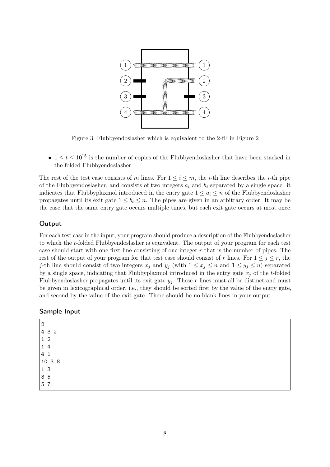

Figure 3: Flubbyendoslasher which is equivalent to the 2-fF in Figure [2](#page-6-1)

•  $1 \le t \le 10^{15}$  is the number of copies of the Flubbyendoslasher that have been stacked in the folded Flubbyendoslasher.

The rest of the test case consists of m lines. For  $1 \leq i \leq m$ , the *i*-th line describes the *i*-th pipe of the Flubbyendoslasher, and consists of two integers  $a_i$  and  $b_i$  separated by a single space: it indicates that Flubbyplaxmol introduced in the entry gate  $1 \le a_i \le n$  of the Flubbyendoslasher propagates until its exit gate  $1 \leq b_i \leq n$ . The pipes are given in an arbitrary order. It may be the case that the same entry gate occurs multiple times, but each exit gate occurs at most once.

#### **Output**

For each test case in the input, your program should produce a description of the Flubbyendoslasher to which the t-folded Flubbyendoslasher is equivalent. The output of your program for each test case should start with one first line consisting of one integer  $r$  that is the number of pipes. The rest of the output of your program for that test case should consist of r lines. For  $1 \leq j \leq r$ , the j-th line should consist of two integers  $x_j$  and  $y_j$  (with  $1 \le x_j \le n$  and  $1 \le y_j \le n$ ) separated by a single space, indicating that Flubbyplaxmol introduced in the entry gate  $x_i$  of the t-folded Flubbyendoslasher propagates until its exit gate  $y_j$ . These r lines must all be distinct and must be given in lexicographical order, i.e., they should be sorted first by the value of the entry gate, and second by the value of the exit gate. There should be no blank lines in your output.

| Sample Input |  |  |
|--------------|--|--|
|              |  |  |

| $\overline{2}$ |        |
|----------------|--------|
|                | 4 3 2  |
| 12             |        |
| 14             |        |
| 41             |        |
|                | 10 3 8 |
| 13             |        |
| 35             |        |
| 5              | 7      |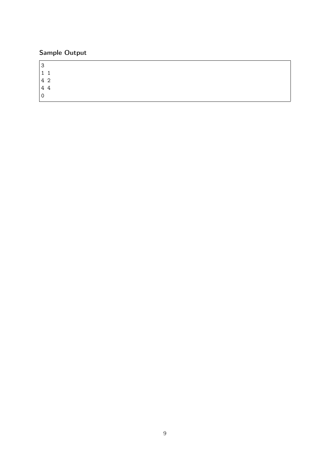# Sample Output

 $\overline{3}$ 1 1 4 2  $\begin{array}{c} 7 \\ 4 \end{array}$ 

 $\overline{0}$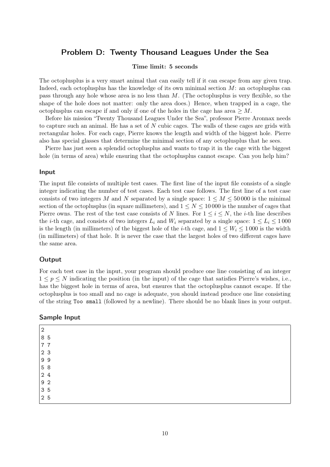### <span id="page-9-0"></span>Problem D: Twenty Thousand Leagues Under the Sea

#### Time limit: 5 seconds

The octoplusplus is a very smart animal that can easily tell if it can escape from any given trap. Indeed, each octoplus has the knowledge of its own minimal section  $M$ : an octoplus can pass through any hole whose area is no less than M. (The octoplusplus is very flexible, so the shape of the hole does not matter: only the area does.) Hence, when trapped in a cage, the octoplus can escape if and only if one of the holes in the cage has area  $\geq M$ .

Before his mission "Twenty Thousand Leagues Under the Sea", professor Pierre Aronnax needs to capture such an animal. He has a set of N cubic cages. The walls of these cages are grids with rectangular holes. For each cage, Pierre knows the length and width of the biggest hole. Pierre also has special glasses that determine the minimal section of any octoplusplus that he sees.

Pierre has just seen a splendid octoplusplus and wants to trap it in the cage with the biggest hole (in terms of area) while ensuring that the octoplus cannot escape. Can you help him?

#### Input

The input file consists of multiple test cases. The first line of the input file consists of a single integer indicating the number of test cases. Each test case follows. The first line of a test case consists of two integers M and N separated by a single space:  $1 \leq M \leq 50000$  is the minimal section of the octoplusplus (in square millimeters), and  $1 \leq N \leq 10000$  is the number of cages that Pierre owns. The rest of the test case consists of N lines. For  $1 \le i \le N$ , the *i*-th line describes the *i*-th cage, and consists of two integers  $L_i$  and  $W_i$  separated by a single space:  $1 \le L_i \le 1000$ is the length (in millimeters) of the biggest hole of the *i*-th cage, and  $1 \leq W_i \leq 1000$  is the width (in millimeters) of that hole. It is never the case that the largest holes of two different cages have the same area.

#### **Output**

For each test case in the input, your program should produce one line consisting of an integer  $1 \leq p \leq N$  indicating the position (in the input) of the cage that satisfies Pierre's wishes, i.e., has the biggest hole in terms of area, but ensures that the octoplusplus cannot escape. If the octoplusplus is too small and no cage is adequate, you should instead produce one line consisting of the string Too small (followed by a newline). There should be no blank lines in your output.

#### Sample Input

| $\sqrt{2}$     |  |  |  |  |
|----------------|--|--|--|--|
| 8 5            |  |  |  |  |
| 7 7            |  |  |  |  |
| 2 <sub>3</sub> |  |  |  |  |
| 99             |  |  |  |  |
| 5 8            |  |  |  |  |
| 2 4            |  |  |  |  |
| 9 <sub>2</sub> |  |  |  |  |
| 35             |  |  |  |  |
| 2 5            |  |  |  |  |
|                |  |  |  |  |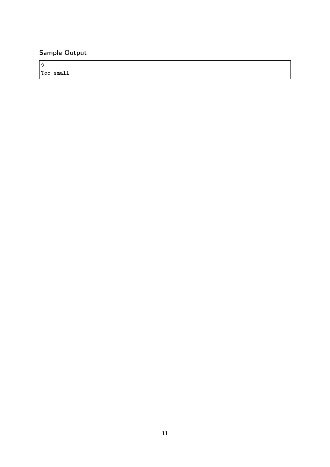# Sample Output

2 Too small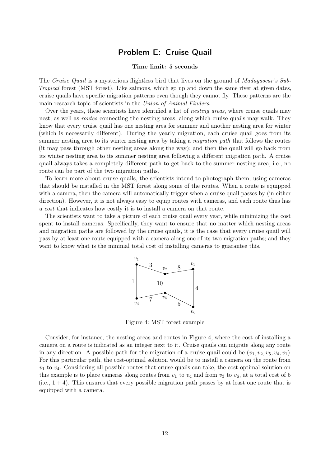### Problem E: Cruise Quail

#### Time limit: 5 seconds

<span id="page-11-0"></span>The Cruise Quail is a mysterious flightless bird that lives on the ground of *Madagascar's Sub-*Tropical forest (MST forest). Like salmons, which go up and down the same river at given dates, cruise quails have specific migration patterns even though they cannot fly. These patterns are the main research topic of scientists in the Union of Animal Finders.

Over the years, these scientists have identified a list of *nesting areas*, where cruise quails may nest, as well as *routes* connecting the nesting areas, along which cruise quails may walk. They know that every cruise quail has one nesting area for summer and another nesting area for winter (which is necessarily different). During the yearly migration, each cruise quail goes from its summer nesting area to its winter nesting area by taking a migration path that follows the routes (it may pass through other nesting areas along the way); and then the quail will go back from its winter nesting area to its summer nesting area following a different migration path. A cruise quail always takes a completely different path to get back to the summer nesting area, i.e., no route can be part of the two migration paths.

To learn more about cruise quails, the scientists intend to photograph them, using cameras that should be installed in the MST forest along some of the routes. When a route is equipped with a camera, then the camera will automatically trigger when a cruise quail passes by (in either direction). However, it is not always easy to equip routes with cameras, and each route thus has a cost that indicates how costly it is to install a camera on that route.

The scientists want to take a picture of each cruise quail every year, while minimizing the cost spent to install cameras. Specifically, they want to ensure that no matter which nesting areas and migration paths are followed by the cruise quails, it is the case that every cruise quail will pass by at least one route equipped with a camera along one of its two migration paths; and they want to know what is the minimal total cost of installing cameras to guarantee this.



<span id="page-11-1"></span>Figure 4: MST forest example

Consider, for instance, the nesting areas and routes in Figure [4,](#page-11-1) where the cost of installing a camera on a route is indicated as an integer next to it. Cruise quails can migrate along any route in any direction. A possible path for the migration of a cruise quail could be  $(v_1, v_2, v_5, v_4, v_1)$ . For this particular path, the cost-optimal solution would be to install a camera on the route from  $v_1$  to  $v_4$ . Considering all possible routes that cruise quails can take, the cost-optimal solution on this example is to place cameras along routes from  $v_1$  to  $v_4$  and from  $v_3$  to  $v_6$ , at a total cost of 5  $(i.e., 1 + 4)$ . This ensures that every possible migration path passes by at least one route that is equipped with a camera.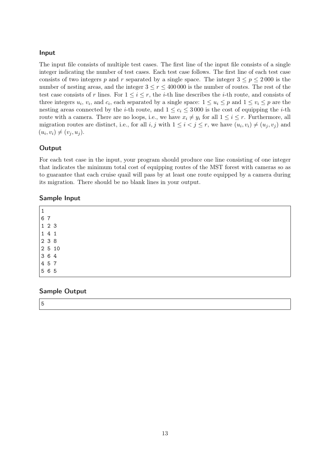### Input

The input file consists of multiple test cases. The first line of the input file consists of a single integer indicating the number of test cases. Each test case follows. The first line of each test case consists of two integers p and r separated by a single space. The integer  $3 \le p \le 2000$  is the number of nesting areas, and the integer  $3 \le r \le 400000$  is the number of routes. The rest of the test case consists of r lines. For  $1 \leq i \leq r$ , the *i*-th line describes the *i*-th route, and consists of three integers  $u_i$ ,  $v_i$ , and  $c_i$ , each separated by a single space:  $1 \le u_i \le p$  and  $1 \le v_i \le p$  are the nesting areas connected by the *i*-th route, and  $1 \leq c_i \leq 3000$  is the cost of equipping the *i*-th route with a camera. There are no loops, i.e., we have  $x_i \neq y_i$  for all  $1 \leq i \leq r$ . Furthermore, all migration routes are distinct, i.e., for all i, j with  $1 \leq i < j \leq r$ , we have  $(u_i, v_i) \neq (u_j, v_j)$  and  $(u_i, v_i) \neq (v_j, u_j).$ 

### **Output**

For each test case in the input, your program should produce one line consisting of one integer that indicates the minimum total cost of equipping routes of the MST forest with cameras so as to guarantee that each cruise quail will pass by at least one route equipped by a camera during its migration. There should be no blank lines in your output.

### Sample Input

### Sample Output

5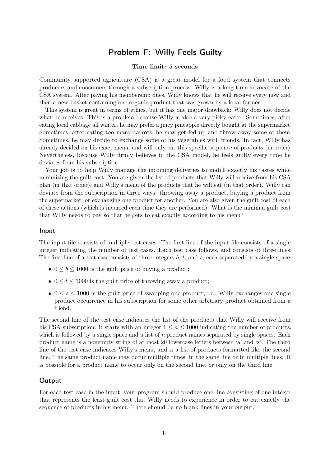# Problem F: Willy Feels Guilty

#### Time limit: 5 seconds

<span id="page-13-0"></span>Community supported agriculture (CSA) is a great model for a food system that connects producers and consumers through a subscription process. Willy is a long-time advocate of the CSA system. After paying his membership dues, Willy knows that he will receive every now and then a new basket containing one organic product that was grown by a local farmer.

This system is great in terms of ethics, but it has one major drawback: Willy does not decide what he receives. This is a problem because Willy is also a very picky eater. Sometimes, after eating local cabbage all winter, he may prefer a juicy pineapple directly bought at the supermarket. Sometimes, after eating too many carrots, he may get fed up and throw away some of them. Sometimes, he may decide to exchange some of his vegetables with friends. In fact, Willy has already decided on his exact menu, and will only eat this specific sequence of products (in order). Nevertheless, because Willy firmly believes in the CSA model, he feels guilty every time he deviates from his subscription.

Your job is to help Willy manage the incoming deliveries to match exactly his tastes while minimizing the guilt cost. You are given the list of products that Willy will receive from his CSA plan (in that order), and Willy's menu of the products that he will eat (in that order). Willy can deviate from the subscription in three ways: throwing away a product, buying a product from the supermarket, or exchanging one product for another. You are also given the guilt cost of each of these actions (which is incurred each time they are performed). What is the minimal guilt cost that Willy needs to pay so that he gets to eat exactly according to his menu?

#### Input

The input file consists of multiple test cases. The first line of the input file consists of a single integer indicating the number of test cases. Each test case follows, and consists of three lines. The first line of a test case consists of three integers  $b, t$ , and  $s$ , each separated by a single space:

- $0 \leq b \leq 1000$  is the guilt price of buying a product;
- $0 \le t \le 1000$  is the guilt price of throwing away a product;
- $0 \leq s \leq 1000$  is the guilt price of swapping one product, i.e., Willy exchanges one single product occurrence in his subscription for some other arbitrary product obtained from a friend.

The second line of the test case indicates the list of the products that Willy will receive from his CSA subscription: it starts with an integer  $1 \leq n \leq 1000$  indicating the number of products, which is followed by a single space and a list of  $n$  product names separated by single spaces. Each product name is a nonempty string of at most 20 lowercase letters between 'a' and 'z'. The third line of the test case indicates Willy's menu, and is a list of products formatted like the second line. The same product name may occur multiple times, in the same line or in multiple lines. It is possible for a product name to occur only on the second line, or only on the third line.

#### **Output**

For each test case in the input, your program should produce one line consisting of one integer that represents the least guilt cost that Willy needs to experience in order to eat exactly the sequence of products in his menu. There should be no blank lines in your output.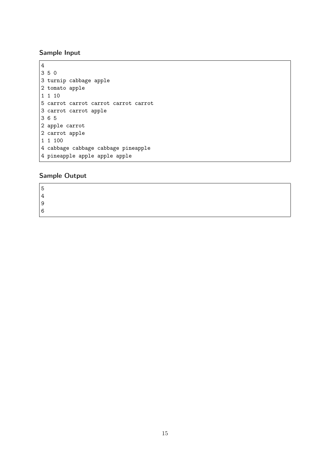# Sample Input

```
4
3 5 0
3 turnip cabbage apple
2 tomato apple
1 1 10
5 carrot carrot carrot carrot carrot
3 carrot carrot apple
3 6 5
2 apple carrot
2 carrot apple
1 1 100
4 cabbage cabbage cabbage pineapple
4 pineapple apple apple apple
```
# Sample Output